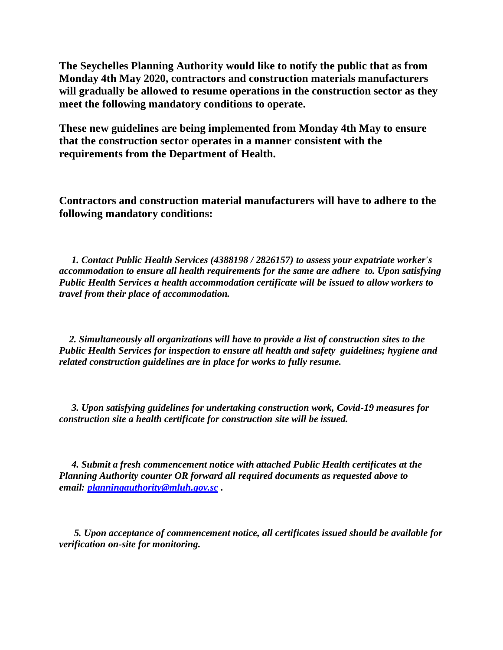**The Seychelles Planning Authority would like to notify the public that as from Monday 4th May 2020, contractors and construction materials manufacturers will gradually be allowed to resume operations in the construction sector as they meet the following mandatory conditions to operate.**

**These new guidelines are being implemented from Monday 4th May to ensure that the construction sector operates in a manner consistent with the requirements from the Department of Health.**

**Contractors and construction material manufacturers will have to adhere to the following mandatory conditions:**

*1. Contact Public Health Services (4388198 / 2826157) to assess your expatriate worker's accommodation to ensure all health requirements for the same are adhere to. Upon satisfying Public Health Services a health accommodation certificate will be issued to allow workers to travel from their place of accommodation.*

*2. Simultaneously all organizations will have to provide a list of construction sites to the Public Health Services for inspection to ensure all health and safety guidelines; hygiene and related construction guidelines are in place for works to fully resume.*

*3. Upon satisfying guidelines for undertaking construction work, Covid-19 measures for construction site a health certificate for construction site will be issued.*

*4. Submit a fresh commencement notice with attached Public Health certificates at the Planning Authority counter OR forward all required documents as requested above to email: [planningauthority@mluh.gov.sc](mailto:planningauthority@mluh.gov.sc) .*

*5. Upon acceptance of commencement notice, all certificates issued should be available for verification on-site for monitoring.*